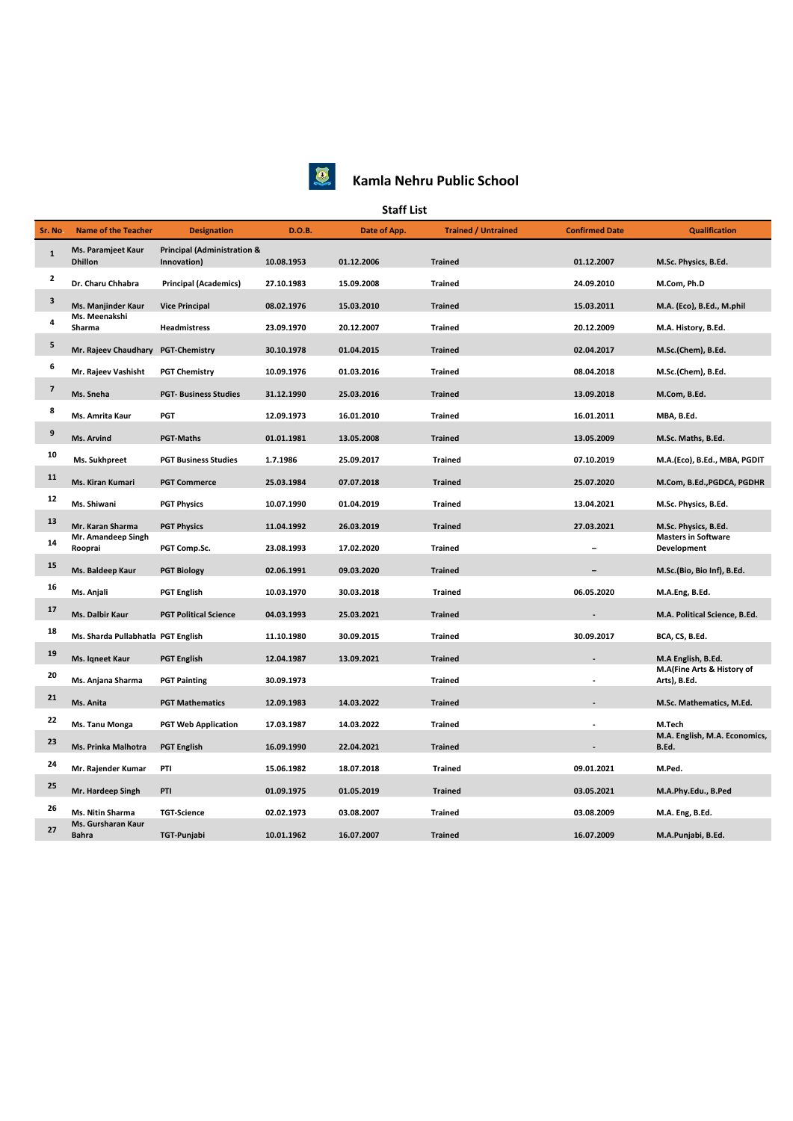

## **Kamla Nehru Public School**

## **Staff List**

| Sr. No.                  | <b>Name of the Teacher</b>           | <b>Designation</b>                                    | D.O.B.     | Date of App. | <b>Trained / Untrained</b> | <b>Confirmed Date</b> | <b>Qualification</b>                       |
|--------------------------|--------------------------------------|-------------------------------------------------------|------------|--------------|----------------------------|-----------------------|--------------------------------------------|
| $\mathbf{1}$             | Ms. Paramjeet Kaur<br><b>Dhillon</b> | <b>Principal (Administration &amp;</b><br>Innovation) | 10.08.1953 | 01.12.2006   | <b>Trained</b>             | 01.12.2007            | M.Sc. Physics, B.Ed.                       |
| $\overline{2}$           | Dr. Charu Chhabra                    | <b>Principal (Academics)</b>                          | 27.10.1983 | 15.09.2008   | <b>Trained</b>             | 24.09.2010            | M.Com, Ph.D                                |
| 3                        | Ms. Manjinder Kaur                   | <b>Vice Principal</b>                                 | 08.02.1976 | 15.03.2010   | <b>Trained</b>             | 15.03.2011            | M.A. (Eco), B.Ed., M.phil                  |
| 4                        | Ms. Meenakshi<br>Sharma              | Headmistress                                          | 23.09.1970 | 20.12.2007   | <b>Trained</b>             | 20.12.2009            | M.A. History, B.Ed.                        |
| $\overline{\mathbf{5}}$  | Mr. Rajeev Chaudhary PGT-Chemistry   |                                                       | 30.10.1978 | 01.04.2015   | <b>Trained</b>             | 02.04.2017            | M.Sc.(Chem), B.Ed.                         |
| 6                        | Mr. Rajeev Vashisht                  | <b>PGT Chemistry</b>                                  | 10.09.1976 | 01.03.2016   | <b>Trained</b>             | 08.04.2018            | M.Sc.(Chem), B.Ed.                         |
| $\overline{\phantom{a}}$ | Ms. Sneha                            | <b>PGT- Business Studies</b>                          | 31.12.1990 | 25.03.2016   | <b>Trained</b>             | 13.09.2018            | M.Com, B.Ed.                               |
| 8                        | Ms. Amrita Kaur                      | PGT                                                   | 12.09.1973 | 16.01.2010   | <b>Trained</b>             | 16.01.2011            | MBA, B.Ed.                                 |
| 9                        | Ms. Arvind                           | <b>PGT-Maths</b>                                      | 01.01.1981 | 13.05.2008   | <b>Trained</b>             | 13.05.2009            | M.Sc. Maths, B.Ed.                         |
| 10                       | Ms. Sukhpreet                        | <b>PGT Business Studies</b>                           | 1.7.1986   | 25.09.2017   | <b>Trained</b>             | 07.10.2019            | M.A.(Eco), B.Ed., MBA, PGDIT               |
| 11                       | Ms. Kiran Kumari                     | <b>PGT Commerce</b>                                   | 25.03.1984 | 07.07.2018   | <b>Trained</b>             | 25.07.2020            | M.Com, B.Ed., PGDCA, PGDHR                 |
| 12                       | Ms. Shiwani                          | <b>PGT Physics</b>                                    | 10.07.1990 | 01.04.2019   | <b>Trained</b>             | 13.04.2021            | M.Sc. Physics, B.Ed.                       |
| 13                       | Mr. Karan Sharma                     | <b>PGT Physics</b>                                    | 11.04.1992 | 26.03.2019   | <b>Trained</b>             | 27.03.2021            | M.Sc. Physics, B.Ed.                       |
| 14                       | Mr. Amandeep Singh<br>Rooprai        | PGT Comp.Sc.                                          | 23.08.1993 | 17.02.2020   | <b>Trained</b>             |                       | <b>Masters in Software</b><br>Development  |
| 15                       | Ms. Baldeep Kaur                     | <b>PGT Biology</b>                                    | 02.06.1991 | 09.03.2020   | <b>Trained</b>             |                       | M.Sc.(Bio, Bio Inf), B.Ed.                 |
| 16                       | Ms. Anjali                           | <b>PGT English</b>                                    | 10.03.1970 | 30.03.2018   | <b>Trained</b>             | 06.05.2020            | M.A.Eng, B.Ed.                             |
| 17                       | Ms. Dalbir Kaur                      | <b>PGT Political Science</b>                          | 04.03.1993 | 25.03.2021   | <b>Trained</b>             |                       | M.A. Political Science, B.Ed.              |
| 18                       | Ms. Sharda Pullabhatla PGT English   |                                                       | 11.10.1980 | 30.09.2015   | <b>Trained</b>             | 30.09.2017            | BCA, CS, B.Ed.                             |
| 19                       | Ms. Iqneet Kaur                      | <b>PGT English</b>                                    | 12.04.1987 | 13.09.2021   | <b>Trained</b>             |                       | M.A English, B.Ed.                         |
| 20                       | Ms. Anjana Sharma                    | <b>PGT Painting</b>                                   | 30.09.1973 |              | <b>Trained</b>             |                       | M.A(Fine Arts & History of<br>Arts), B.Ed. |
| 21                       | Ms. Anita                            | <b>PGT Mathematics</b>                                | 12.09.1983 | 14.03.2022   | <b>Trained</b>             |                       | M.Sc. Mathematics, M.Ed.                   |
| 22                       | Ms. Tanu Monga                       | <b>PGT Web Application</b>                            | 17.03.1987 | 14.03.2022   | <b>Trained</b>             |                       | M.Tech                                     |
| 23                       | Ms. Prinka Malhotra                  | <b>PGT English</b>                                    | 16.09.1990 | 22.04.2021   | <b>Trained</b>             |                       | M.A. English, M.A. Economics,<br>B.Ed.     |
| 24                       | Mr. Rajender Kumar                   | PTI                                                   | 15.06.1982 | 18.07.2018   | <b>Trained</b>             | 09.01.2021            | M.Ped.                                     |
| 25                       | Mr. Hardeep Singh                    | PTI                                                   | 01.09.1975 | 01.05.2019   | <b>Trained</b>             | 03.05.2021            | M.A.Phy.Edu., B.Ped                        |
| 26                       | Ms. Nitin Sharma                     | <b>TGT-Science</b>                                    | 02.02.1973 | 03.08.2007   | <b>Trained</b>             | 03.08.2009            | M.A. Eng, B.Ed.                            |
| 27                       | Ms. Gursharan Kaur<br><b>Bahra</b>   | TGT-Punjabi                                           | 10.01.1962 | 16.07.2007   | <b>Trained</b>             | 16.07.2009            | M.A.Punjabi, B.Ed.                         |